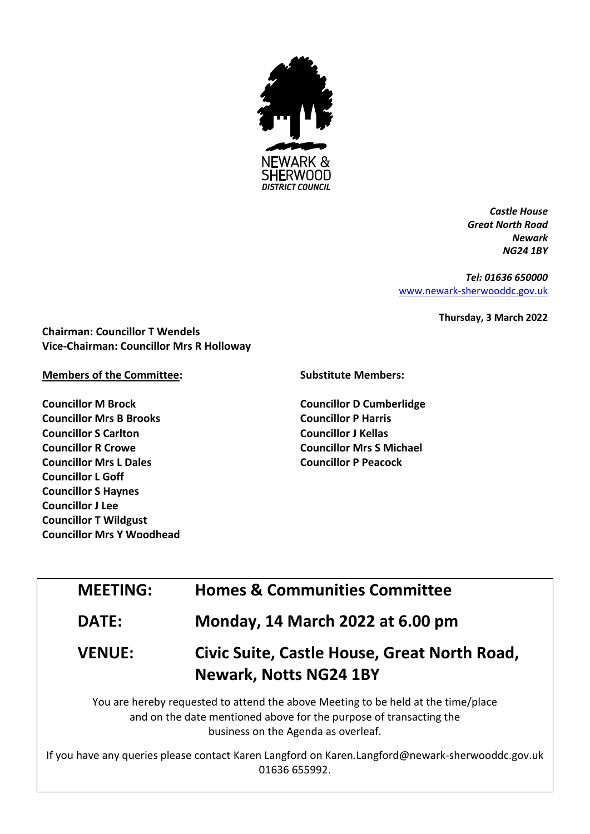

*Castle House Great North Road Newark NG24 1BY*

*Tel: 01636 650000* [www.newark-sherwooddc.gov.uk](http://www.newark-sherwooddc.gov.uk/)

**Thursday, 3 March 2022**

**Chairman: Councillor T Wendels Vice-Chairman: Councillor Mrs R Holloway**

## **Members of the Committee:**

**Councillor M Brock Councillor Mrs B Brooks Councillor S Carlton Councillor R Crowe Councillor Mrs L Dales Councillor L Goff Councillor S Haynes Councillor J Lee Councillor T Wildgust Councillor Mrs Y Woodhead** **Substitute Members:**

**Councillor D Cumberlidge Councillor P Harris Councillor J Kellas Councillor Mrs S Michael Councillor P Peacock**

## **MEETING: Homes & Communities Committee DATE: Monday, 14 March 2022 at 6.00 pm VENUE: Civic Suite, Castle House, Great North Road, Newark, Notts NG24 1BY**

You are hereby requested to attend the above Meeting to be held at the time/place and on the date mentioned above for the purpose of transacting the business on the Agenda as overleaf.

If you have any queries please contact Karen Langford on Karen.Langford@newark-sherwooddc.gov.uk 01636 655992.